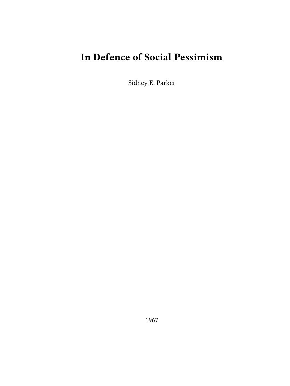# **In Defence of Social Pessimism**

Sidney E. Parker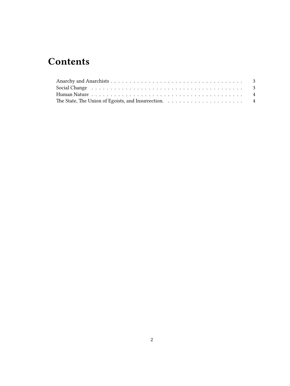## **Contents**

| Social Change running resources in the set of the set of the set of the set of the set of the set of the set of the set of the set of the set of the set of the set of the set of the set of the set of the set of the set of |  |
|-------------------------------------------------------------------------------------------------------------------------------------------------------------------------------------------------------------------------------|--|
|                                                                                                                                                                                                                               |  |
|                                                                                                                                                                                                                               |  |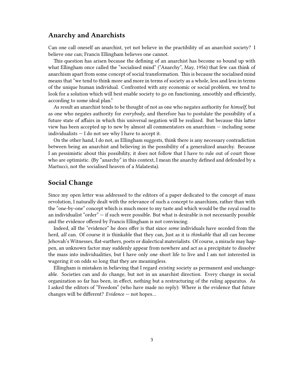### <span id="page-2-0"></span>**Anarchy and Anarchists**

Can one call oneself an anarchist, yet not believe in the practibility of an anarchist society? I believe one can; Francis Ellingham believes one cannot.

This question has arisen because the defining of an anarchist has become so bound up with what Ellingham once called the "socialised mind" ("Anarchy", May, 1956) that few can think of anarchism apart from some concept of social transformation. This is because the socialised mind means that "we tend to think more and more in terms of society as a whole, less and less in terms of the unique human individual. Confronted with any economic or social problem, we tend to look for a solution which will best enable society to go on functioning, smoothly and efficiently, according to some ideal plan."

As result an anarchist tends to be thought of not as one who negates authority for *himself*, but as one who negates authority for *everybody*, and therefore has to postulate the possibility of a future state of affairs in which this universal negation will be realized. But because this latter view has been accepted up to new by almost all commentators on anarchism — including some individualists — I do not see why I have to accept it.

On the other hand, I do not, as Ellingham suggests, think there is any necessary contradiction between being an anarchist and believing in the possibility of a generalized anarchy. Because I an pessimistic about this possibility, it does not follow that I have to rule out of court those who are optimistic. (By "anarchy" in this context, I mean the anarchy defined and defended by a Martucci, not the socialised heaven of a Malatesta).

#### <span id="page-2-1"></span>**Social Change**

Since my open letter was addressed to the editors of a paper dedicated to the concept of mass revolution, I naturally dealt with the relevance of such a concept to anarchism, rather than with the "one-by-one" concept which is much more to my taste and which would be the royal road to an individualist "order" — if such were possible. But what is desirable is not necessarily possible and the evidence offered by Francis Ellingham is not convincing.

Indeed, all the "evidence" he does offer is that since *some* individuals have seceded from the herd, *all* can. Of course it is thinkable that they can, Just as it is *thinkable* that all can become Jehovah's Witnesses, flat-earthers, poets or dialectical materialists. Of course, a miracle may happen, an unknown factor may suddenly appear from nowhere and act as a precipitate to dissolve the mass into individualities, but I have only one short life to live and I am not interested in wagering it on odds so long that they are meaningless.

Ellingham is mistaken in believing that I regard *existing* society as permanent and unchangeable. Societies can and do change, but not in an anarchist direction. Every change in social organization so far has been, in effect, nothing but a restructuring of the ruling apparatus. As I asked the editors of "Freedom" (who have made no reply): Where is the evidence that future changes will be different? *Evidence* — not hopes…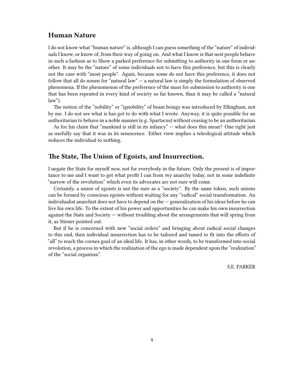## <span id="page-3-0"></span>**Human Nature**

I do not know what "human nature" is, although I can guess something of the "nature" of individuals I know, or know of, from their way of going on. And what I know is that nest people behave in such a fashion as to Show a parked preference for submitting to authority in one form or another. It may be the "nature" of some individuals not to have this preference, but this is clearly not the case with "most people". Again, because some do not have this preference, it does not follow that all do nouns for "natural law"  $-$  a natural law is simply the formulation of observed phenomena. If the phenomenon of the preference of the mass for submission to authority is one that has been repeated in every kind of society so far known, than it may be called a "natural law").

The notion of the "nobility" or "ignobility" of beam beings was introduced by Ellingham, not by me. I do not see what is has got to do with what I wrote. Anyway, it is quite possible for an authoritarian to behave in a noble manner (e.g. Spartacus) without ceasing to be an authoritarian.

As for his claim that "mankind is still in its infancy" — what does this mean? One right just as usefully say that it was in its senescence. Either view implies a teleological attitude which reduces the individual to nothing.

#### <span id="page-3-1"></span>**The State, The Union of Egoists, and Insurrection.**

I negate the State for myself *now*, not for everybody in the future. Only the present is of importance to me and I want to get what profit I can from *my* anarchy today, not in some indefinite "narrow of the revolution" which even its advocates are not sure will come.

Certainly, a union of egoists is not the sure as a "society". By the same token, such unions can be formed by conscious egoists without waiting for any "radical" social transformation. An individualist anarchist does not have to depend on the — generalization of his ideas before he can live his own life. To the extent of his power and opportunities he can make his own insurrection against the State and Society — without troubling about the arrangements that will spring from it, as Stirner pointed out.

But if he is concerned with new "social orders" and bringing about radical social changes to this end, then individual insurrection has to be tailored and tamed to fit into the efforts of "all" to reach the cornea goal of an ideal life. It has, in other words, to be transformed into social revolution, a process in which the realization of the ego is made dependent upon the "realization" of the "social organism".

S.E. PARKER